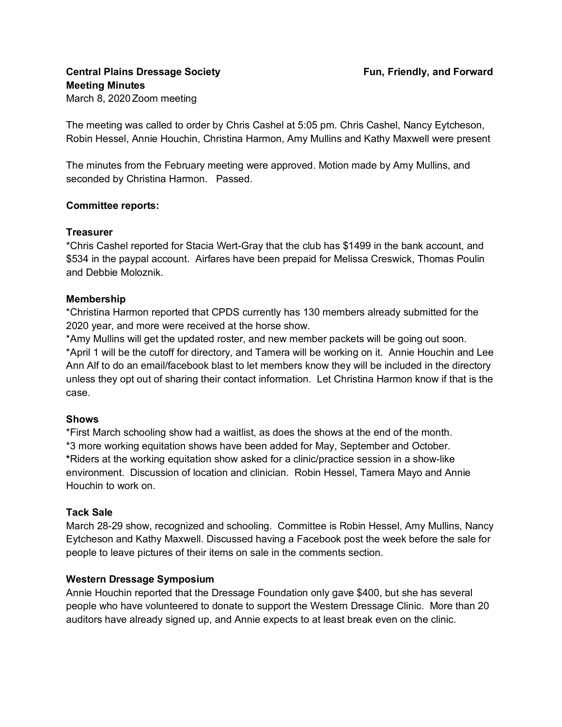The meeting was called to order by Chris Cashel at 5:05 pm. Chris Cashel, Nancy Eytcheson, Robin Hessel, Annie Houchin, Christina Harmon, Amy Mullins and Kathy Maxwell were present

The minutes from the February meeting were approved. Motion made by Amy Mullins, and seconded by Christina Harmon. Passed.

# **Committee reports:**

#### **Treasurer**

\*Chris Cashel reported for Stacia Wert-Gray that the club has \$1499 in the bank account, and \$534 in the paypal account. Airfares have been prepaid for Melissa Creswick, Thomas Poulin and Debbie Moloznik.

# **Membership**

\*Christina Harmon reported that CPDS currently has 130 members already submitted for the 2020 year, and more were received at the horse show.

\*Amy Mullins will get the updated roster, and new member packets will be going out soon.

\*April 1 will be the cutoff for directory, and Tamera will be working on it. Annie Houchin and Lee Ann Alf to do an email/facebook blast to let members know they will be included in the directory unless they opt out of sharing their contact information. Let Christina Harmon know if that is the case.

# **Shows**

\*First March schooling show had a waitlist, as does the shows at the end of the month. \*3 more working equitation shows have been added for May, September and October. **\***Riders at the working equitation show asked for a clinic/practice session in a show-like environment. Discussion of location and clinician. Robin Hessel, Tamera Mayo and Annie Houchin to work on.

# **Tack Sale**

March 28-29 show, recognized and schooling. Committee is Robin Hessel, Amy Mullins, Nancy Eytcheson and Kathy Maxwell. Discussed having a Facebook post the week before the sale for people to leave pictures of their items on sale in the comments section.

# **Western Dressage Symposium**

Annie Houchin reported that the Dressage Foundation only gave \$400, but she has several people who have volunteered to donate to support the Western Dressage Clinic. More than 20 auditors have already signed up, and Annie expects to at least break even on the clinic.